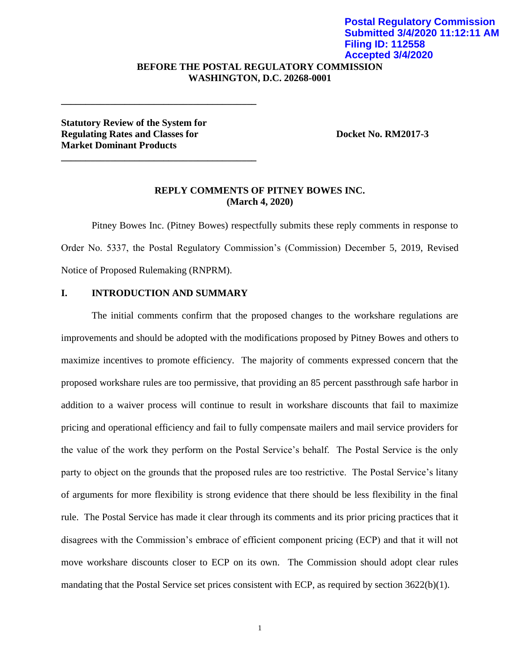## **BEFORE THE POSTAL REGULATORY COMMISSION WASHINGTON, D.C. 20268-0001 Submitted 3/4/2020 11:12:11 AM Filing ID: 112558 Accepted 3/4/2020**

**Statutory Review of the System for Regulating Rates and Classes for Separate Roughlands Booket No. RM2017-3 Market Dominant Products**

**\_\_\_\_\_\_\_\_\_\_\_\_\_\_\_\_\_\_\_\_\_\_\_\_\_\_\_\_\_\_\_\_\_\_\_\_\_\_\_\_**

**\_\_\_\_\_\_\_\_\_\_\_\_\_\_\_\_\_\_\_\_\_\_\_\_\_\_\_\_\_\_\_\_\_\_\_\_\_\_\_\_**

**Postal Regulatory Commission**

### **REPLY COMMENTS OF PITNEY BOWES INC. (March 4, 2020)**

Pitney Bowes Inc. (Pitney Bowes) respectfully submits these reply comments in response to Order No. 5337, the Postal Regulatory Commission's (Commission) December 5, 2019, Revised Notice of Proposed Rulemaking (RNPRM).

#### **I. INTRODUCTION AND SUMMARY**

The initial comments confirm that the proposed changes to the workshare regulations are improvements and should be adopted with the modifications proposed by Pitney Bowes and others to maximize incentives to promote efficiency. The majority of comments expressed concern that the proposed workshare rules are too permissive, that providing an 85 percent passthrough safe harbor in addition to a waiver process will continue to result in workshare discounts that fail to maximize pricing and operational efficiency and fail to fully compensate mailers and mail service providers for the value of the work they perform on the Postal Service's behalf. The Postal Service is the only party to object on the grounds that the proposed rules are too restrictive. The Postal Service's litany of arguments for more flexibility is strong evidence that there should be less flexibility in the final rule. The Postal Service has made it clear through its comments and its prior pricing practices that it disagrees with the Commission's embrace of efficient component pricing (ECP) and that it will not move workshare discounts closer to ECP on its own. The Commission should adopt clear rules mandating that the Postal Service set prices consistent with ECP, as required by section 3622(b)(1).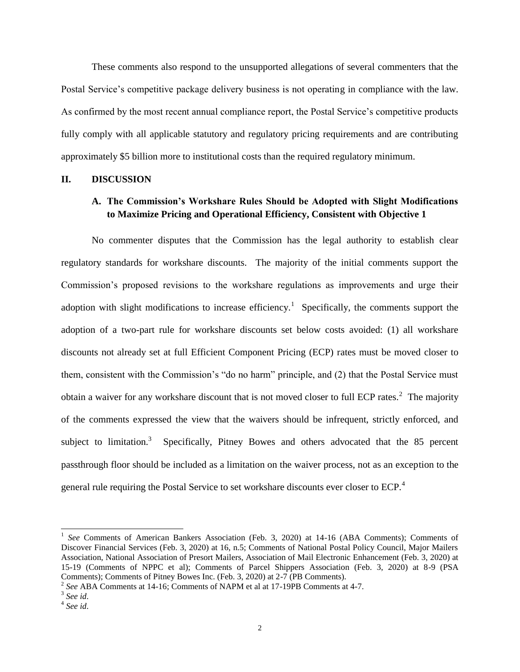These comments also respond to the unsupported allegations of several commenters that the Postal Service's competitive package delivery business is not operating in compliance with the law. As confirmed by the most recent annual compliance report, the Postal Service's competitive products fully comply with all applicable statutory and regulatory pricing requirements and are contributing approximately \$5 billion more to institutional costs than the required regulatory minimum.

#### **II. DISCUSSION**

# **A. The Commission's Workshare Rules Should be Adopted with Slight Modifications to Maximize Pricing and Operational Efficiency, Consistent with Objective 1**

No commenter disputes that the Commission has the legal authority to establish clear regulatory standards for workshare discounts. The majority of the initial comments support the Commission's proposed revisions to the workshare regulations as improvements and urge their adoption with slight modifications to increase efficiency.<sup>1</sup> Specifically, the comments support the adoption of a two-part rule for workshare discounts set below costs avoided: (1) all workshare discounts not already set at full Efficient Component Pricing (ECP) rates must be moved closer to them, consistent with the Commission's "do no harm" principle, and (2) that the Postal Service must obtain a waiver for any workshare discount that is not moved closer to full ECP rates. $2$  The majority of the comments expressed the view that the waivers should be infrequent, strictly enforced, and subject to limitation.<sup>3</sup> Specifically, Pitney Bowes and others advocated that the 85 percent passthrough floor should be included as a limitation on the waiver process, not as an exception to the general rule requiring the Postal Service to set workshare discounts ever closer to ECP.<sup>4</sup>

<sup>&</sup>lt;sup>1</sup> See Comments of American Bankers Association (Feb. 3, 2020) at 14-16 (ABA Comments); Comments of Discover Financial Services (Feb. 3, 2020) at 16, n.5; Comments of National Postal Policy Council, Major Mailers Association, National Association of Presort Mailers, Association of Mail Electronic Enhancement (Feb. 3, 2020) at 15-19 (Comments of NPPC et al); Comments of Parcel Shippers Association (Feb. 3, 2020) at 8-9 (PSA Comments); Comments of Pitney Bowes Inc. (Feb. 3, 2020) at 2-7 (PB Comments).

<sup>2</sup> *See* ABA Comments at 14-16; Comments of NAPM et al at 17-19PB Comments at 4-7.

<sup>3</sup> *See id*.

<sup>4</sup> *See id*.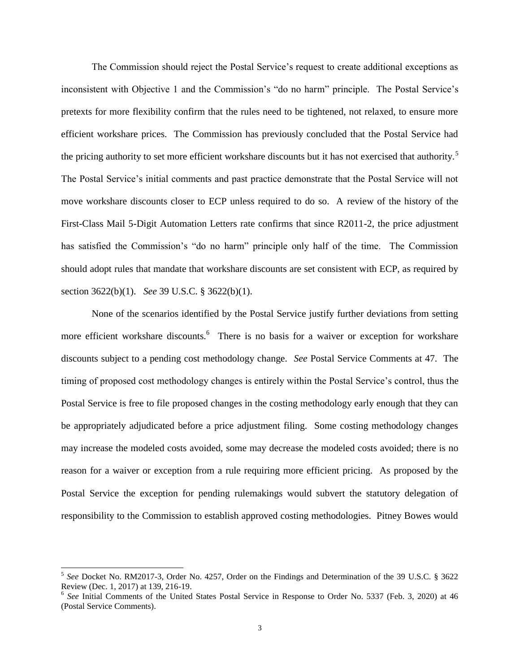The Commission should reject the Postal Service's request to create additional exceptions as inconsistent with Objective 1 and the Commission's "do no harm" principle. The Postal Service's pretexts for more flexibility confirm that the rules need to be tightened, not relaxed, to ensure more efficient workshare prices. The Commission has previously concluded that the Postal Service had the pricing authority to set more efficient workshare discounts but it has not exercised that authority.<sup>5</sup> The Postal Service's initial comments and past practice demonstrate that the Postal Service will not move workshare discounts closer to ECP unless required to do so. A review of the history of the First-Class Mail 5-Digit Automation Letters rate confirms that since R2011-2, the price adjustment has satisfied the Commission's "do no harm" principle only half of the time. The Commission should adopt rules that mandate that workshare discounts are set consistent with ECP, as required by section 3622(b)(1). *See* 39 U.S.C. § 3622(b)(1).

None of the scenarios identified by the Postal Service justify further deviations from setting more efficient workshare discounts.<sup>6</sup> There is no basis for a waiver or exception for workshare discounts subject to a pending cost methodology change. *See* Postal Service Comments at 47. The timing of proposed cost methodology changes is entirely within the Postal Service's control, thus the Postal Service is free to file proposed changes in the costing methodology early enough that they can be appropriately adjudicated before a price adjustment filing. Some costing methodology changes may increase the modeled costs avoided, some may decrease the modeled costs avoided; there is no reason for a waiver or exception from a rule requiring more efficient pricing. As proposed by the Postal Service the exception for pending rulemakings would subvert the statutory delegation of responsibility to the Commission to establish approved costing methodologies. Pitney Bowes would

<sup>5</sup> *See* Docket No. RM2017-3, Order No. 4257, Order on the Findings and Determination of the 39 U.S.C. § 3622 Review (Dec. 1, 2017) at 139, 216-19.

<sup>&</sup>lt;sup>6</sup> See Initial Comments of the United States Postal Service in Response to Order No. 5337 (Feb. 3, 2020) at 46 (Postal Service Comments).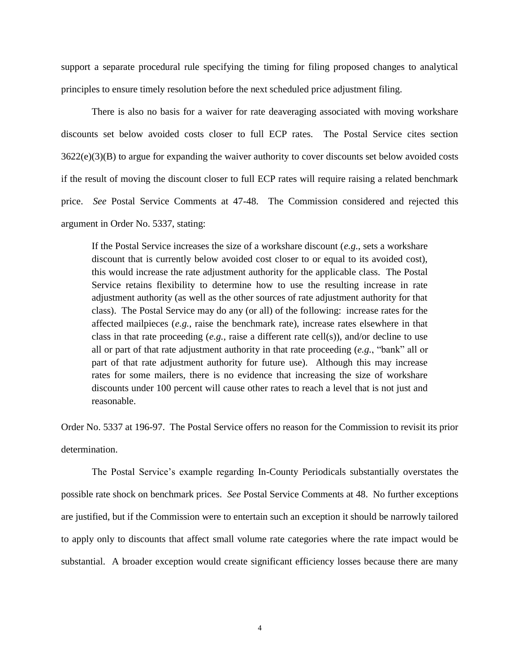support a separate procedural rule specifying the timing for filing proposed changes to analytical principles to ensure timely resolution before the next scheduled price adjustment filing.

There is also no basis for a waiver for rate deaveraging associated with moving workshare discounts set below avoided costs closer to full ECP rates. The Postal Service cites section 3622(e)(3)(B) to argue for expanding the waiver authority to cover discounts set below avoided costs if the result of moving the discount closer to full ECP rates will require raising a related benchmark price. *See* Postal Service Comments at 47-48. The Commission considered and rejected this argument in Order No. 5337, stating:

If the Postal Service increases the size of a workshare discount (*e.g.*, sets a workshare discount that is currently below avoided cost closer to or equal to its avoided cost), this would increase the rate adjustment authority for the applicable class. The Postal Service retains flexibility to determine how to use the resulting increase in rate adjustment authority (as well as the other sources of rate adjustment authority for that class). The Postal Service may do any (or all) of the following: increase rates for the affected mailpieces (*e.g.*, raise the benchmark rate), increase rates elsewhere in that class in that rate proceeding  $(e.g.,$  raise a different rate cell $(s)$ ), and/or decline to use all or part of that rate adjustment authority in that rate proceeding (*e.g.*, "bank" all or part of that rate adjustment authority for future use). Although this may increase rates for some mailers, there is no evidence that increasing the size of workshare discounts under 100 percent will cause other rates to reach a level that is not just and reasonable.

Order No. 5337 at 196-97. The Postal Service offers no reason for the Commission to revisit its prior determination.

The Postal Service's example regarding In-County Periodicals substantially overstates the possible rate shock on benchmark prices. *See* Postal Service Comments at 48. No further exceptions are justified, but if the Commission were to entertain such an exception it should be narrowly tailored to apply only to discounts that affect small volume rate categories where the rate impact would be substantial. A broader exception would create significant efficiency losses because there are many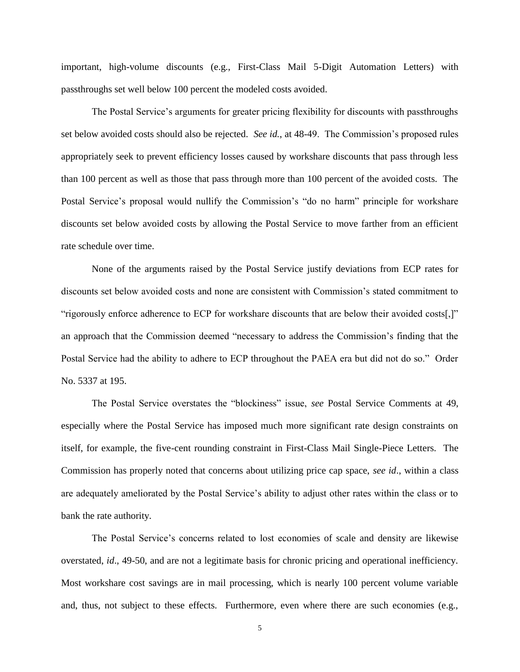important, high-volume discounts (e.g., First-Class Mail 5-Digit Automation Letters) with passthroughs set well below 100 percent the modeled costs avoided.

The Postal Service's arguments for greater pricing flexibility for discounts with passthroughs set below avoided costs should also be rejected. *See id.*, at 48-49. The Commission's proposed rules appropriately seek to prevent efficiency losses caused by workshare discounts that pass through less than 100 percent as well as those that pass through more than 100 percent of the avoided costs. The Postal Service's proposal would nullify the Commission's "do no harm" principle for workshare discounts set below avoided costs by allowing the Postal Service to move farther from an efficient rate schedule over time.

None of the arguments raised by the Postal Service justify deviations from ECP rates for discounts set below avoided costs and none are consistent with Commission's stated commitment to "rigorously enforce adherence to ECP for workshare discounts that are below their avoided costs[,]" an approach that the Commission deemed "necessary to address the Commission's finding that the Postal Service had the ability to adhere to ECP throughout the PAEA era but did not do so." Order No. 5337 at 195.

The Postal Service overstates the "blockiness" issue, *see* Postal Service Comments at 49, especially where the Postal Service has imposed much more significant rate design constraints on itself, for example, the five-cent rounding constraint in First-Class Mail Single-Piece Letters. The Commission has properly noted that concerns about utilizing price cap space, *see id*., within a class are adequately ameliorated by the Postal Service's ability to adjust other rates within the class or to bank the rate authority.

The Postal Service's concerns related to lost economies of scale and density are likewise overstated, *id*., 49-50, and are not a legitimate basis for chronic pricing and operational inefficiency. Most workshare cost savings are in mail processing, which is nearly 100 percent volume variable and, thus, not subject to these effects. Furthermore, even where there are such economies (e.g.,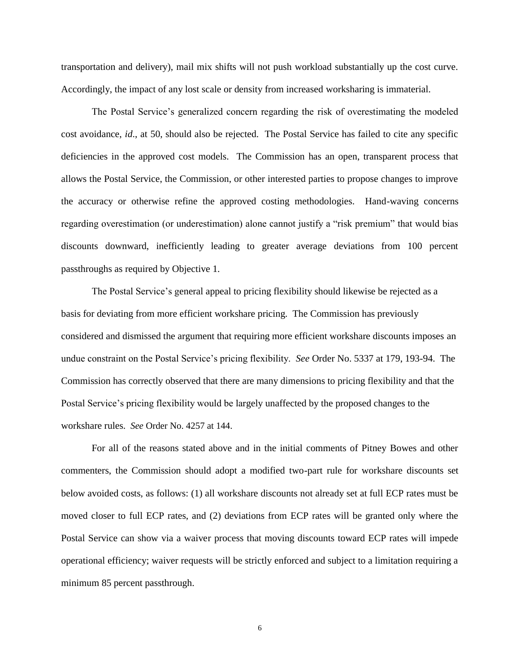transportation and delivery), mail mix shifts will not push workload substantially up the cost curve. Accordingly, the impact of any lost scale or density from increased worksharing is immaterial.

The Postal Service's generalized concern regarding the risk of overestimating the modeled cost avoidance, *id*., at 50, should also be rejected. The Postal Service has failed to cite any specific deficiencies in the approved cost models. The Commission has an open, transparent process that allows the Postal Service, the Commission, or other interested parties to propose changes to improve the accuracy or otherwise refine the approved costing methodologies. Hand-waving concerns regarding overestimation (or underestimation) alone cannot justify a "risk premium" that would bias discounts downward, inefficiently leading to greater average deviations from 100 percent passthroughs as required by Objective 1.

The Postal Service's general appeal to pricing flexibility should likewise be rejected as a basis for deviating from more efficient workshare pricing. The Commission has previously considered and dismissed the argument that requiring more efficient workshare discounts imposes an undue constraint on the Postal Service's pricing flexibility. *See* Order No. 5337 at 179, 193-94. The Commission has correctly observed that there are many dimensions to pricing flexibility and that the Postal Service's pricing flexibility would be largely unaffected by the proposed changes to the workshare rules. *See* Order No. 4257 at 144.

For all of the reasons stated above and in the initial comments of Pitney Bowes and other commenters, the Commission should adopt a modified two-part rule for workshare discounts set below avoided costs, as follows: (1) all workshare discounts not already set at full ECP rates must be moved closer to full ECP rates, and (2) deviations from ECP rates will be granted only where the Postal Service can show via a waiver process that moving discounts toward ECP rates will impede operational efficiency; waiver requests will be strictly enforced and subject to a limitation requiring a minimum 85 percent passthrough.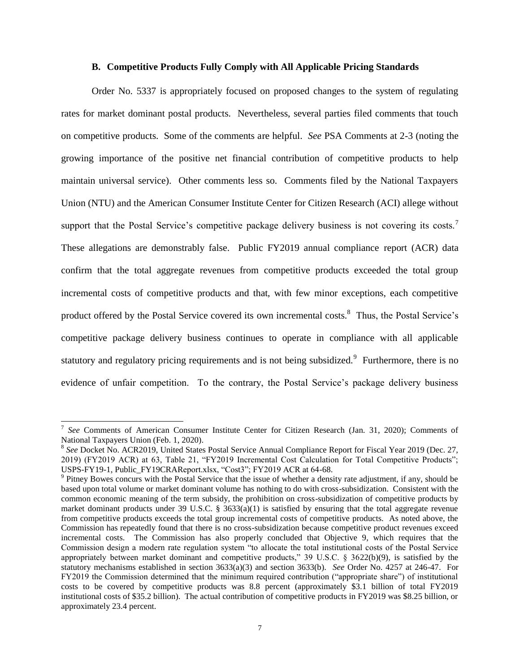#### **B. Competitive Products Fully Comply with All Applicable Pricing Standards**

Order No. 5337 is appropriately focused on proposed changes to the system of regulating rates for market dominant postal products. Nevertheless, several parties filed comments that touch on competitive products. Some of the comments are helpful. *See* PSA Comments at 2-3 (noting the growing importance of the positive net financial contribution of competitive products to help maintain universal service). Other comments less so. Comments filed by the National Taxpayers Union (NTU) and the American Consumer Institute Center for Citizen Research (ACI) allege without support that the Postal Service's competitive package delivery business is not covering its costs.<sup>7</sup> These allegations are demonstrably false. Public FY2019 annual compliance report (ACR) data confirm that the total aggregate revenues from competitive products exceeded the total group incremental costs of competitive products and that, with few minor exceptions, each competitive product offered by the Postal Service covered its own incremental costs.<sup>8</sup> Thus, the Postal Service's competitive package delivery business continues to operate in compliance with all applicable statutory and regulatory pricing requirements and is not being subsidized.<sup>9</sup> Furthermore, there is no evidence of unfair competition. To the contrary, the Postal Service's package delivery business

<sup>7</sup> *See* Comments of American Consumer Institute Center for Citizen Research (Jan. 31, 2020); Comments of National Taxpayers Union (Feb. 1, 2020).

<sup>&</sup>lt;sup>8</sup> See Docket No. ACR2019, United States Postal Service Annual Compliance Report for Fiscal Year 2019 (Dec. 27, 2019) (FY2019 ACR) at 63, Table 21, "FY2019 Incremental Cost Calculation for Total Competitive Products"; USPS-FY19-1, Public\_FY19CRAReport.xlsx, "Cost3"; FY2019 ACR at 64-68.

<sup>&</sup>lt;sup>9</sup> Pitney Bowes concurs with the Postal Service that the issue of whether a density rate adjustment, if any, should be based upon total volume or market dominant volume has nothing to do with cross-subsidization. Consistent with the common economic meaning of the term subsidy, the prohibition on cross-subsidization of competitive products by market dominant products under 39 U.S.C. § 3633(a)(1) is satisfied by ensuring that the total aggregate revenue from competitive products exceeds the total group incremental costs of competitive products. As noted above, the Commission has repeatedly found that there is no cross-subsidization because competitive product revenues exceed incremental costs. The Commission has also properly concluded that Objective 9, which requires that the Commission design a modern rate regulation system "to allocate the total institutional costs of the Postal Service appropriately between market dominant and competitive products," 39 U.S.C.  $\S$  3622(b)(9), is satisfied by the statutory mechanisms established in section 3633(a)(3) and section 3633(b). *See* Order No. 4257 at 246-47. For FY2019 the Commission determined that the minimum required contribution ("appropriate share") of institutional costs to be covered by competitive products was 8.8 percent (approximately \$3.1 billion of total FY2019 institutional costs of \$35.2 billion). The actual contribution of competitive products in FY2019 was \$8.25 billion, or approximately 23.4 percent.